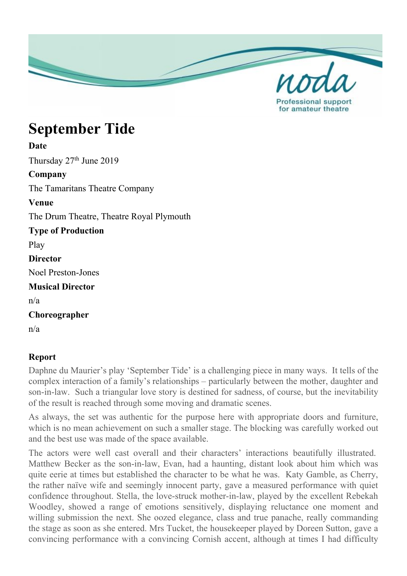

# **September Tide**

## **Date**

Thursday 27<sup>th</sup> June 2019

### **Company**

The Tamaritans Theatre Company

#### **Venue**

The Drum Theatre, Theatre Royal Plymouth

**Type of Production** Play **Director** Noel Preston-Jones **Musical Director**

n/a

**Choreographer**

n/a

## **Report**

Daphne du Maurier's play 'September Tide' is a challenging piece in many ways. It tells of the complex interaction of a family's relationships – particularly between the mother, daughter and son-in-law. Such a triangular love story is destined for sadness, of course, but the inevitability of the result is reached through some moving and dramatic scenes.

As always, the set was authentic for the purpose here with appropriate doors and furniture, which is no mean achievement on such a smaller stage. The blocking was carefully worked out and the best use was made of the space available.

The actors were well cast overall and their characters' interactions beautifully illustrated. Matthew Becker as the son-in-law, Evan, had a haunting, distant look about him which was quite eerie at times but established the character to be what he was. Katy Gamble, as Cherry, the rather naïve wife and seemingly innocent party, gave a measured performance with quiet confidence throughout. Stella, the love-struck mother-in-law, played by the excellent Rebekah Woodley, showed a range of emotions sensitively, displaying reluctance one moment and willing submission the next. She oozed elegance, class and true panache, really commanding the stage as soon as she entered. Mrs Tucket, the housekeeper played by Doreen Sutton, gave a convincing performance with a convincing Cornish accent, although at times I had difficulty